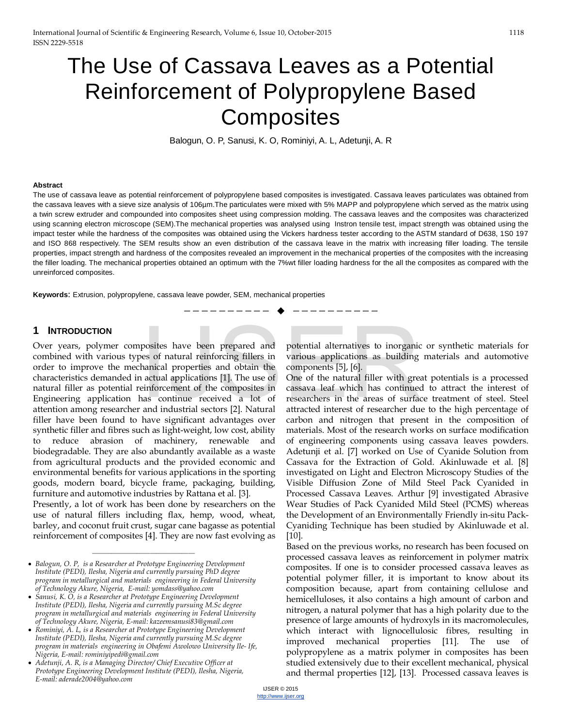# The Use of Cassava Leaves as a Potential Reinforcement of Polypropylene Based **Composites**

Balogun, O. P, Sanusi, K. O, Rominiyi, A. L, Adetunji, A. R

#### **Abstract**

The use of cassava leave as potential reinforcement of polypropylene based composites is investigated. Cassava leaves particulates was obtained from the cassava leaves with a sieve size analysis of 106µm.The particulates were mixed with 5% MAPP and polypropylene which served as the matrix using a twin screw extruder and compounded into composites sheet using compression molding. The cassava leaves and the composites was characterized using scanning electron microscope (SEM).The mechanical properties was analysed using Instron tensile test, impact strength was obtained using the impact tester while the hardness of the composites was obtained using the Vickers hardness tester according to the ASTM standard of D638, 1S0 197 and ISO 868 respectively. The SEM results show an even distribution of the cassava leave in the matrix with increasing filler loading. The tensile properties, impact strength and hardness of the composites revealed an improvement in the mechanical properties of the composites with the increasing the filler loading. The mechanical properties obtained an optimum with the 7%wt filler loading hardness for the all the composites as compared with the unreinforced composites.

—————————— ——————————

**Keywords**: Extrusion, polypropylene, cassava leave powder, SEM, mechanical properties

#### **1 INTRODUCTION**

Over years, polymer composites have been prepared and combined with various types of natural reinforcing fillers in order to improve the mechanical properties and obtain the characteristics demanded in actual applications [1]. The use of natural filler as potential reinforcement of the composites in Engineering application has continue received a lot of attention among researcher and industrial sectors [2]. Natural filler have been found to have significant advantages over synthetic filler and fibres such as light-weight, low cost, ability to reduce abrasion of machinery, renewable and biodegradable. They are also abundantly available as a waste from agricultural products and the provided economic and environmental benefits for various applications in the sporting goods, modern board, bicycle frame, packaging, building, furniture and automotive industries by Rattana et al. [3]. posites have been prepared and potential alternatives to inorganic<br>less of natural reinforcing fillers in various applications as building<br>hanical properties and obtain the components [5], [6].<br>lactual applications [1]. Th

Presently, a lot of work has been done by researchers on the use of natural fillers including flax, hemp, wood, wheat, barley, and coconut fruit crust, sugar cane bagasse as potential reinforcement of composites [4]. They are now fast evolving as

————————————————

potential alternatives to inorganic or synthetic materials for various applications as building materials and automotive components [5], [6].

One of the natural filler with great potentials is a processed cassava leaf which has continued to attract the interest of researchers in the areas of surface treatment of steel. Steel attracted interest of researcher due to the high percentage of carbon and nitrogen that present in the composition of materials. Most of the research works on surface modification of engineering components using cassava leaves powders. Adetunji et al. [7] worked on Use of Cyanide Solution from Cassava for the Extraction of Gold. Akinluwade et al. [8] investigated on Light and Electron Microscopy Studies of the Visible Diffusion Zone of Mild Steel Pack Cyanided in Processed Cassava Leaves. Arthur [9] investigated Abrasive Wear Studies of Pack Cyanided Mild Steel (PCMS) whereas the Development of an Environmentally Friendly in-situ Pack-Cyaniding Technique has been studied by Akinluwade et al. [10].

Based on the previous works, no research has been focused on processed cassava leaves as reinforcement in polymer matrix composites. If one is to consider processed cassava leaves as potential polymer filler, it is important to know about its composition because, apart from containing cellulose and hemicelluloses, it also contains a high amount of carbon and nitrogen, a natural polymer that has a high polarity due to the presence of large amounts of hydroxyls in its macromolecules, which interact with lignocellulosic fibres, resulting in improved mechanical properties [11]. The use of polypropylene as a matrix polymer in composites has been studied extensively due to their excellent mechanical, physical and thermal properties [12], [13]. Processed cassava leaves is

<sup>•</sup> *Balogun, O. P, is a Researcher at Prototype Engineering Development Institute (PEDI), Ilesha, Nigeria and currently pursuing PhD degree program in metallurgical and materials engineering in Federal University of Technology Akure, Nigeria, E-mail: yomdass@yahoo.com*

<sup>•</sup> *Sanusi, K. O, is a Researcher at Prototype Engineering Development Institute (PEDI), Ilesha, Nigeria and currently pursuing M.Sc degree program in metallurgical and materials engineering in Federal University of Technology Akure, Nigeria, E-mail: kazeemsanusi83@gmail.com*

<sup>•</sup> *Rominiyi, A. L, is a Researcher at Prototype Engineering Development Institute (PEDI), Ilesha, Nigeria and currently pursuing M.Sc degree program in materials engineering in Obafemi Awolowo University Ile- Ife, Nigeria, E-mail: rominiyipedi@gmail.com*

<sup>•</sup> *Adetunji, A. R, is a Managing Director/ Chief Executive Officer at Prototype Engineering Development Institute (PEDI), Ilesha, Nigeria, E-mail: aderade2004@yahoo.com*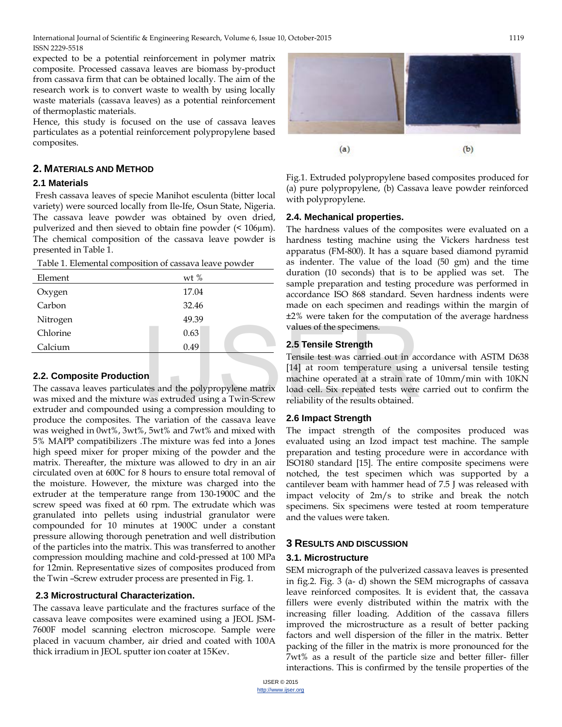expected to be a potential reinforcement in polymer matrix composite. Processed cassava leaves are biomass by-product from cassava firm that can be obtained locally. The aim of the research work is to convert waste to wealth by using locally waste materials (cassava leaves) as a potential reinforcement of thermoplastic materials.

Hence, this study is focused on the use of cassava leaves particulates as a potential reinforcement polypropylene based composites.

# **2. MATERIALS AND METHOD**

#### **2.1 Materials**

Fresh cassava leaves of specie Manihot esculenta (bitter local variety) were sourced locally from Ile-Ife, Osun State, Nigeria. The cassava leave powder was obtained by oven dried, pulverized and then sieved to obtain fine powder (< 106µm). The chemical composition of the cassava leave powder is presented in Table 1.

Table 1. Elemental composition of cassava leave powder

| wt $%$ |  |
|--------|--|
| 17.04  |  |
| 32.46  |  |
| 49.39  |  |
| 0.63   |  |
| 0.49   |  |
|        |  |

## **2.2. Composite Production**

The cassava leaves particulates and the polypropylene matrix was mixed and the mixture was extruded using a Twin-Screw extruder and compounded using a compression moulding to produce the composites. The variation of the cassava leave was weighed in 0wt%, 3wt%, 5wt% and 7wt% and mixed with 5% MAPP compatibilizers .The mixture was fed into a Jones high speed mixer for proper mixing of the powder and the matrix. Thereafter, the mixture was allowed to dry in an air circulated oven at 600C for 8 hours to ensure total removal of the moisture. However, the mixture was charged into the extruder at the temperature range from 130-1900C and the screw speed was fixed at 60 rpm. The extrudate which was granulated into pellets using industrial granulator were compounded for 10 minutes at 1900C under a constant pressure allowing thorough penetration and well distribution of the particles into the matrix. This was transferred to another compression moulding machine and cold-pressed at 100 MPa for 12min. Representative sizes of composites produced from the Twin –Screw extruder process are presented in Fig. 1.

## **2.3 Microstructural Characterization.**

The cassava leave particulate and the fractures surface of the cassava leave composites were examined using a JEOL JSM-7600F model scanning electron microscope. Sample were placed in vacuum chamber, air dried and coated with 100A thick irradium in JEOL sputter ion coater at 15Kev.



Fig.1. Extruded polypropylene based composites produced for (a) pure polypropylene, (b) Cassava leave powder reinforced with polypropylene.

## **2.4. Mechanical properties.**

The hardness values of the composites were evaluated on a hardness testing machine using the Vickers hardness test apparatus (FM-800). It has a square based diamond pyramid as indenter. The value of the load (50 gm) and the time duration (10 seconds) that is to be applied was set. The sample preparation and testing procedure was performed in accordance ISO 868 standard. Seven hardness indents were made on each specimen and readings within the margin of ±2% were taken for the computation of the average hardness values of the specimens.

## **2.5 Tensile Strength**

Tensile test was carried out in accordance with ASTM D638 [14] at room temperature using a universal tensile testing machine operated at a strain rate of 10mm/min with 10KN load cell. Six repeated tests were carried out to confirm the reliability of the results obtained.  $\begin{array}{r}\n 0.63 \\
 0.49\n \end{array}$ <br>
2.5 Tensile Strength<br>
Tensile test was carried out in according to<br>
DISTER STEER STEER STEERING Tensile test was carried out in according to<br>
Tensile test was carried out in according to<br>
Ten

## **2.6 Impact Strength**

The impact strength of the composites produced was evaluated using an Izod impact test machine. The sample preparation and testing procedure were in accordance with ISO180 standard [15]. The entire composite specimens were notched, the test specimen which was supported by a cantilever beam with hammer head of 7.5 J was released with impact velocity of 2m/s to strike and break the notch specimens. Six specimens were tested at room temperature and the values were taken.

# **3 RESULTS AND DISCUSSION**

## **3.1. Microstructure**

SEM micrograph of the pulverized cassava leaves is presented in fig.2. Fig. 3 (a- d) shown the SEM micrographs of cassava leave reinforced composites. It is evident that, the cassava fillers were evenly distributed within the matrix with the increasing filler loading. Addition of the cassava fillers improved the microstructure as a result of better packing factors and well dispersion of the filler in the matrix. Better packing of the filler in the matrix is more pronounced for the 7wt% as a result of the particle size and better filler- filler interactions. This is confirmed by the tensile properties of the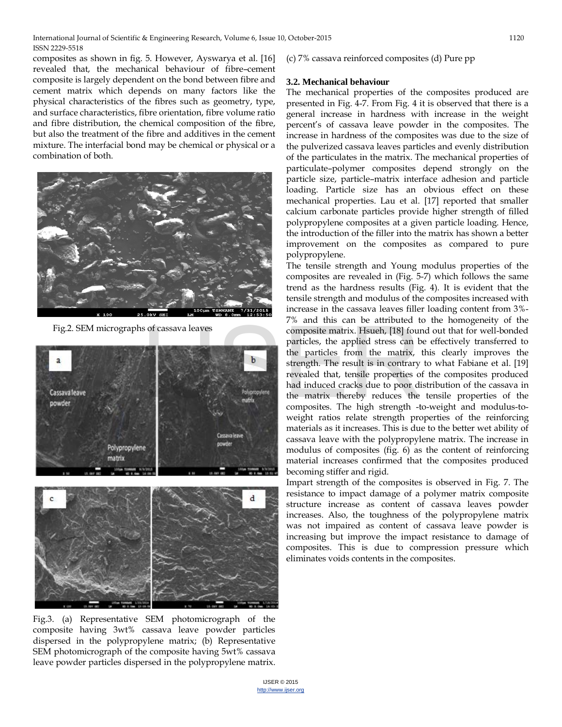composites as shown in fig. 5. However, Ayswarya et al. [16] revealed that, the mechanical behaviour of fibre–cement composite is largely dependent on the bond between fibre and cement matrix which depends on many factors like the physical characteristics of the fibres such as geometry, type, and surface characteristics, fibre orientation, fibre volume ratio and fibre distribution, the chemical composition of the fibre, but also the treatment of the fibre and additives in the cement mixture. The interfacial bond may be chemical or physical or a combination of both.



Fig.2. SEM micrographs of cassava leaves



Fig.3. (a) Representative SEM photomicrograph of the composite having 3wt% cassava leave powder particles dispersed in the polypropylene matrix; (b) Representative SEM photomicrograph of the composite having 5wt% cassava leave powder particles dispersed in the polypropylene matrix.

#### (c) 7% cassava reinforced composites (d) Pure pp

#### **3.2. Mechanical behaviour**

The mechanical properties of the composites produced are presented in Fig. 4-7. From Fig. 4 it is observed that there is a general increase in hardness with increase in the weight percent's of cassava leave powder in the composites. The increase in hardness of the composites was due to the size of the pulverized cassava leaves particles and evenly distribution of the particulates in the matrix. The mechanical properties of particulate–polymer composites depend strongly on the particle size, particle–matrix interface adhesion and particle loading. Particle size has an obvious effect on these mechanical properties. Lau et al. [17] reported that smaller calcium carbonate particles provide higher strength of filled polypropylene composites at a given particle loading. Hence, the introduction of the filler into the matrix has shown a better improvement on the composites as compared to pure polypropylene.

The tensile strength and Young modulus properties of the composites are revealed in (Fig. 5-7) which follows the same trend as the hardness results (Fig. 4). It is evident that the tensile strength and modulus of the composites increased with increase in the cassava leaves filler loading content from 3%- 7% and this can be attributed to the homogeneity of the composite matrix. Hsueh, [18] found out that for well-bonded particles, the applied stress can be effectively transferred to the particles from the matrix, this clearly improves the strength. The result is in contrary to what Fabiane et al. [19] revealed that, tensile properties of the composites produced had induced cracks due to poor distribution of the cassava in the matrix thereby reduces the tensile properties of the composites. The high strength -to-weight and modulus-toweight ratios relate strength properties of the reinforcing materials as it increases. This is due to the better wet ability of cassava leave with the polypropylene matrix. The increase in modulus of composites (fig. 6) as the content of reinforcing material increases confirmed that the composites produced becoming stiffer and rigid. IS of cassava leaves<br>
composite matrix. Hsueh, [18] four<br>
particles, the applied stress can b<br>
the particles from the matrix,<br>
strength. The result is in contrary<br>
revealed that, tensile properties of<br>
had induced cracks d

> Impart strength of the composites is observed in Fig. 7. The resistance to impact damage of a polymer matrix composite structure increase as content of cassava leaves powder increases. Also, the toughness of the polypropylene matrix was not impaired as content of cassava leave powder is increasing but improve the impact resistance to damage of composites. This is due to compression pressure which eliminates voids contents in the composites.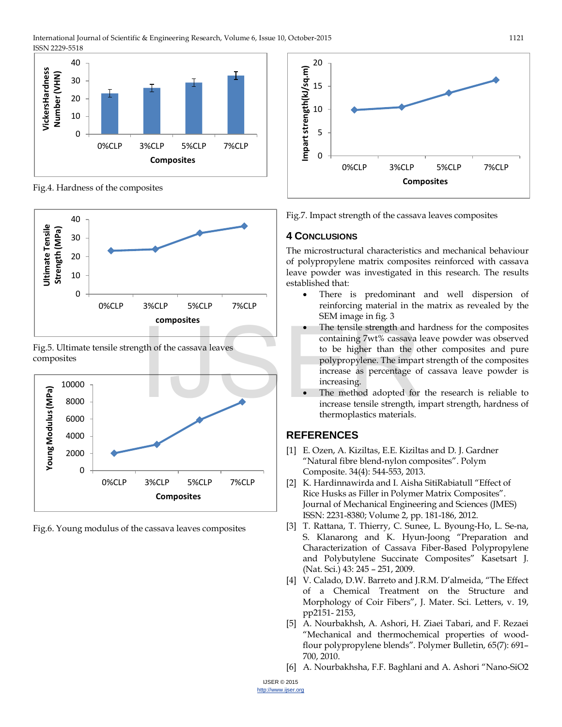International Journal of Scientific & Engineering Research, Volume 6, Issue 10, October-2015 1121 ISSN 2229-5518



Fig.4. Hardness of the composites



Fig.5. Ultimate tensile strength of the cassava leaves composites



Fig.6. Young modulus of the cassava leaves composites



Fig.7. Impact strength of the cassava leaves composites

#### **4 CONCLUSIONS**

The microstructural characteristics and mechanical behaviour of polypropylene matrix composites reinforced with cassava leave powder was investigated in this research. The results established that:

- There is predominant and well dispersion of reinforcing material in the matrix as revealed by the SEM image in fig. 3
- The tensile strength and hardness for the composites containing 7wt% cassava leave powder was observed to be higher than the other composites and pure polypropylene. The impart strength of the composites increase as percentage of cassava leave powder is increasing.
- The method adopted for the research is reliable to increase tensile strength, impart strength, hardness of thermoplastics materials.

## **REFERENCES**

- [1] E. Ozen, A. Kiziltas, E.E. Kiziltas and D. J. Gardner "Natural fibre blend-nylon composites". Polym Composite. 34(4): 544-553, 2013.
- [2] K. Hardinnawirda and I. Aisha SitiRabiatull "Effect of Rice Husks as Filler in Polymer Matrix Composites". Journal of Mechanical Engineering and Sciences (JMES) ISSN: 2231-8380; Volume 2, pp. 181-186, 2012.
- [3] T. Rattana, T. Thierry, C. Sunee, L. Byoung-Ho, L. Se-na, S. Klanarong and K. Hyun-Joong "Preparation and Characterization of Cassava Fiber-Based Polypropylene and Polybutylene Succinate Composites" Kasetsart J. (Nat. Sci.) 43: 245 – 251, 2009.
- [4] V. Calado, D.W. Barreto and J.R.M. D'almeida, "The Effect of a Chemical Treatment on the Structure and Morphology of Coir Fibers", J. Mater. Sci. Letters, v. 19, pp2151- 2153,
- [5] A. Nourbakhsh, A. Ashori, H. Ziaei Tabari, and F. Rezaei "Mechanical and thermochemical properties of woodflour polypropylene blends". Polymer Bulletin, 65(7): 691– 700, 2010.
- [6] A. Nourbakhsha, F.F. Baghlani and A. Ashori "Nano-SiO2